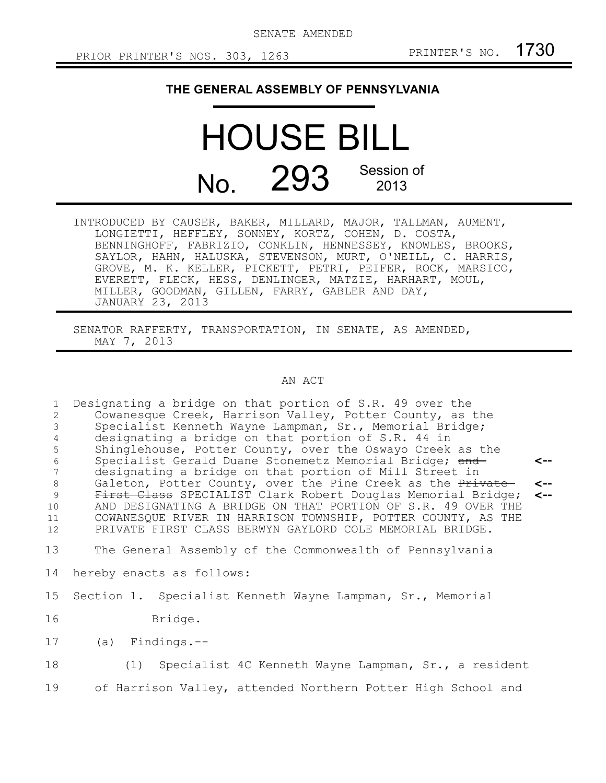SENATE AMENDED

## **THE GENERAL ASSEMBLY OF PENNSYLVANIA**

## HOUSE BILL No. 293 Session of 2013

INTRODUCED BY CAUSER, BAKER, MILLARD, MAJOR, TALLMAN, AUMENT, LONGIETTI, HEFFLEY, SONNEY, KORTZ, COHEN, D. COSTA, BENNINGHOFF, FABRIZIO, CONKLIN, HENNESSEY, KNOWLES, BROOKS, SAYLOR, HAHN, HALUSKA, STEVENSON, MURT, O'NEILL, C. HARRIS, GROVE, M. K. KELLER, PICKETT, PETRI, PEIFER, ROCK, MARSICO, EVERETT, FLECK, HESS, DENLINGER, MATZIE, HARHART, MOUL, MILLER, GOODMAN, GILLEN, FARRY, GABLER AND DAY, JANUARY 23, 2013

SENATOR RAFFERTY, TRANSPORTATION, IN SENATE, AS AMENDED, MAY 7, 2013

## AN ACT

| $\mathbf{1}$    | Designating a bridge on that portion of S.R. 49 over the     |              |
|-----------------|--------------------------------------------------------------|--------------|
| 2               | Cowanesque Creek, Harrison Valley, Potter County, as the     |              |
| 3               | Specialist Kenneth Wayne Lampman, Sr., Memorial Bridge;      |              |
| 4               | designating a bridge on that portion of S.R. 44 in           |              |
| 5               | Shinglehouse, Potter County, over the Oswayo Creek as the    |              |
| $\epsilon$      | Specialist Gerald Duane Stonemetz Memorial Bridge; and       | <--          |
| $7\phantom{.0}$ | designating a bridge on that portion of Mill Street in       |              |
| 8               | Galeton, Potter County, over the Pine Creek as the Private   | $\leftarrow$ |
| $\overline{9}$  | First Class SPECIALIST Clark Robert Douglas Memorial Bridge; | $\leftarrow$ |
| 10              | AND DESIGNATING A BRIDGE ON THAT PORTION OF S.R. 49 OVER THE |              |
| 11              | COWANESQUE RIVER IN HARRISON TOWNSHIP, POTTER COUNTY, AS THE |              |
| 12 <sup>°</sup> | PRIVATE FIRST CLASS BERWYN GAYLORD COLE MEMORIAL BRIDGE.     |              |
|                 |                                                              |              |
| 13              | The General Assembly of the Commonwealth of Pennsylvania     |              |
| 14              | hereby enacts as follows:                                    |              |
| 15              | Section 1. Specialist Kenneth Wayne Lampman, Sr., Memorial   |              |
| 16              | Bridge.                                                      |              |
| 17              | $(a)$ Findings.--                                            |              |
| 18              | (1) Specialist 4C Kenneth Wayne Lampman, Sr., a resident     |              |
| 19              | of Harrison Valley, attended Northern Potter High School and |              |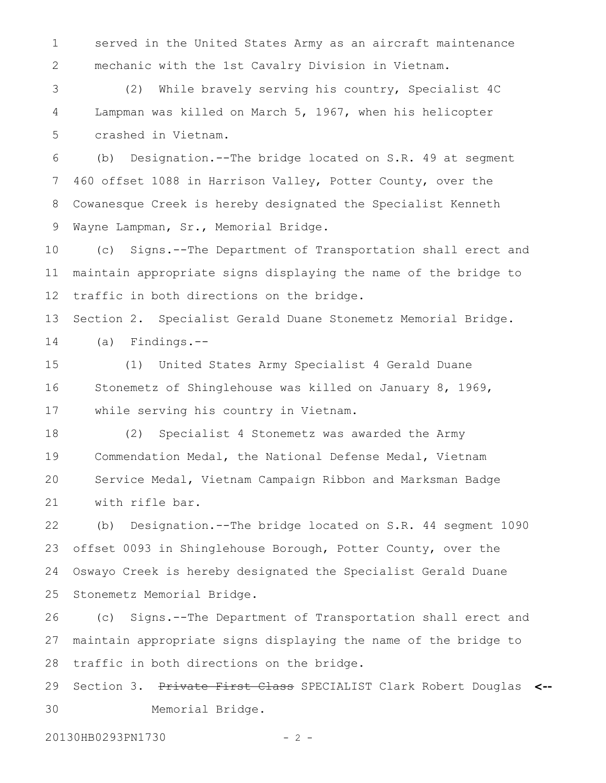served in the United States Army as an aircraft maintenance mechanic with the 1st Cavalry Division in Vietnam. 1 2

(2) While bravely serving his country, Specialist 4C Lampman was killed on March 5, 1967, when his helicopter crashed in Vietnam. 3 4 5

(b) Designation.--The bridge located on S.R. 49 at segment 460 offset 1088 in Harrison Valley, Potter County, over the Cowanesque Creek is hereby designated the Specialist Kenneth Wayne Lampman, Sr., Memorial Bridge. 6 7 8 9

(c) Signs.--The Department of Transportation shall erect and maintain appropriate signs displaying the name of the bridge to traffic in both directions on the bridge. 10 11 12

Section 2. Specialist Gerald Duane Stonemetz Memorial Bridge. (a) Findings.-- 13 14

(1) United States Army Specialist 4 Gerald Duane Stonemetz of Shinglehouse was killed on January 8, 1969, while serving his country in Vietnam. 15 16 17

(2) Specialist 4 Stonemetz was awarded the Army Commendation Medal, the National Defense Medal, Vietnam Service Medal, Vietnam Campaign Ribbon and Marksman Badge with rifle bar. 18 19 20 21

(b) Designation.--The bridge located on S.R. 44 segment 1090 offset 0093 in Shinglehouse Borough, Potter County, over the Oswayo Creek is hereby designated the Specialist Gerald Duane Stonemetz Memorial Bridge. 22 23 24 25

(c) Signs.--The Department of Transportation shall erect and maintain appropriate signs displaying the name of the bridge to traffic in both directions on the bridge. 26 27 28

Section 3. Private First Class SPECIALIST Clark Robert Douglas **<--** Memorial Bridge. 29 30

20130HB0293PN1730 - 2 -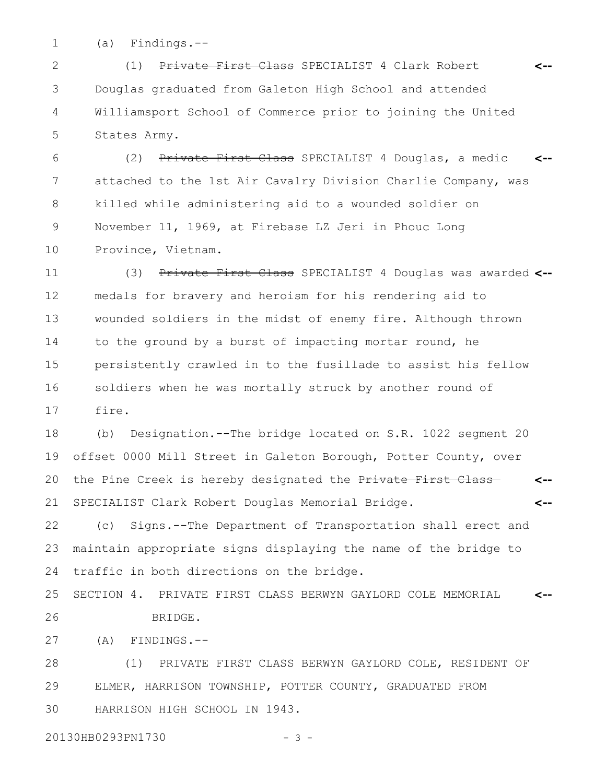(a) Findings.-- 1

(1) Private First Class SPECIALIST 4 Clark Robert Douglas graduated from Galeton High School and attended Williamsport School of Commerce prior to joining the United States Army. **<--** 2 3 4 5

(2) Private First Class SPECIALIST 4 Douglas, a medic attached to the 1st Air Cavalry Division Charlie Company, was killed while administering aid to a wounded soldier on November 11, 1969, at Firebase LZ Jeri in Phouc Long Province, Vietnam. **<--** 6 7 8 9 10

(3) Private First Class SPECIALIST 4 Douglas was awarded **<-** medals for bravery and heroism for his rendering aid to wounded soldiers in the midst of enemy fire. Although thrown to the ground by a burst of impacting mortar round, he persistently crawled in to the fusillade to assist his fellow soldiers when he was mortally struck by another round of fire. 11 12 13 14 15 16 17

(b) Designation.--The bridge located on S.R. 1022 segment 20 offset 0000 Mill Street in Galeton Borough, Potter County, over the Pine Creek is hereby designated the Private First Class SPECIALIST Clark Robert Douglas Memorial Bridge. **<-- <--** 18 19 20 21

(c) Signs.--The Department of Transportation shall erect and maintain appropriate signs displaying the name of the bridge to traffic in both directions on the bridge. 22 23 24

SECTION 4. PRIVATE FIRST CLASS BERWYN GAYLORD COLE MEMORIAL BRIDGE. **<--** 25 26

(A) FINDINGS.-- 27

(1) PRIVATE FIRST CLASS BERWYN GAYLORD COLE, RESIDENT OF ELMER, HARRISON TOWNSHIP, POTTER COUNTY, GRADUATED FROM HARRISON HIGH SCHOOL IN 1943. 28 29 30

20130HB0293PN1730 - 3 -